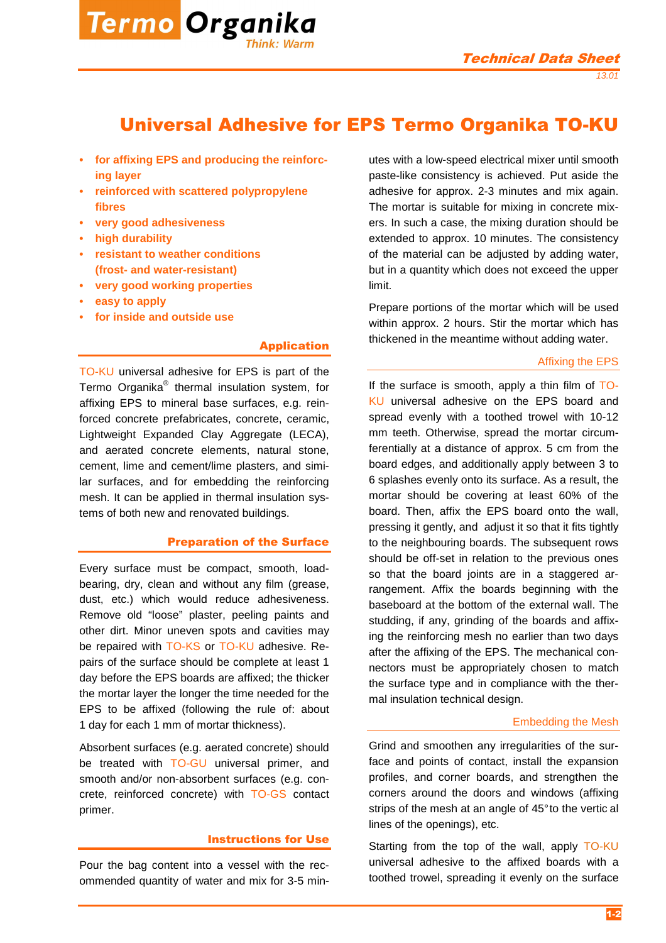

13.01

# Universal Adhesive for EPS Termo Organika TO-KU

**• for affixing EPS and producing the reinforcing layer** 

Termo Organika

- **reinforced with scattered polypropylene fibres**
- **very good adhesiveness**
- **high durability**
- **resistant to weather conditions (frost- and water-resistant)**
- **very good working properties**
- **easy to apply**
- **for inside and outside use**

#### Application

TO-KU universal adhesive for EPS is part of the Termo Organika® thermal insulation system, for affixing EPS to mineral base surfaces, e.g. reinforced concrete prefabricates, concrete, ceramic, Lightweight Expanded Clay Aggregate (LECA), and aerated concrete elements, natural stone, cement, lime and cement/lime plasters, and similar surfaces, and for embedding the reinforcing mesh. It can be applied in thermal insulation systems of both new and renovated buildings.

## Preparation of the Surface

Every surface must be compact, smooth, loadbearing, dry, clean and without any film (grease, dust, etc.) which would reduce adhesiveness. Remove old "loose" plaster, peeling paints and other dirt. Minor uneven spots and cavities may be repaired with TO-KS or TO-KU adhesive. Repairs of the surface should be complete at least 1 day before the EPS boards are affixed; the thicker the mortar layer the longer the time needed for the EPS to be affixed (following the rule of: about 1 day for each 1 mm of mortar thickness).

Absorbent surfaces (e.g. aerated concrete) should be treated with TO-GU universal primer, and smooth and/or non-absorbent surfaces (e.g. concrete, reinforced concrete) with TO-GS contact primer.

### Instructions for Use

Pour the bag content into a vessel with the recommended quantity of water and mix for 3-5 minutes with a low-speed electrical mixer until smooth paste-like consistency is achieved. Put aside the adhesive for approx. 2-3 minutes and mix again. The mortar is suitable for mixing in concrete mixers. In such a case, the mixing duration should be extended to approx. 10 minutes. The consistency of the material can be adjusted by adding water, but in a quantity which does not exceed the upper limit.

Prepare portions of the mortar which will be used within approx. 2 hours. Stir the mortar which has thickened in the meantime without adding water.

### Affixing the EPS

If the surface is smooth, apply a thin film of TO-KU universal adhesive on the EPS board and spread evenly with a toothed trowel with 10-12 mm teeth. Otherwise, spread the mortar circumferentially at a distance of approx. 5 cm from the board edges, and additionally apply between 3 to 6 splashes evenly onto its surface. As a result, the mortar should be covering at least 60% of the board. Then, affix the EPS board onto the wall, pressing it gently, and adjust it so that it fits tightly to the neighbouring boards. The subsequent rows should be off-set in relation to the previous ones so that the board joints are in a staggered arrangement. Affix the boards beginning with the baseboard at the bottom of the external wall. The studding, if any, grinding of the boards and affixing the reinforcing mesh no earlier than two days after the affixing of the EPS. The mechanical connectors must be appropriately chosen to match the surface type and in compliance with the thermal insulation technical design.

#### Embedding the Mesh

Grind and smoothen any irregularities of the surface and points of contact, install the expansion profiles, and corner boards, and strengthen the corners around the doors and windows (affixing strips of the mesh at an angle of 45° to the vertic al lines of the openings), etc.

Starting from the top of the wall, apply TO-KU universal adhesive to the affixed boards with a toothed trowel, spreading it evenly on the surface